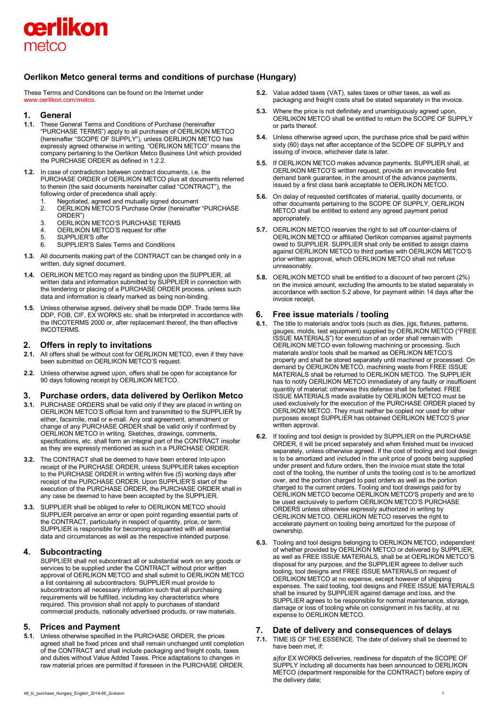

# **Oerlikon Metco general terms and conditions of purchase (Hungary)**

These Terms and Conditions can be found on the Internet under [www.oerlikon.com/metco.](http://www.oerlikon.com/metco)

### **1. General**

- **1.1.** These General Terms and Conditions of Purchase (hereinafter "PURCHASE TERMS") apply to all purchases of OERLIKON METCO (hereinafter "SCOPE OF SUPPLY"), unless OERLIKON METCO has expressly agreed otherwise in writing. "OERLIKON METCO" means the company pertaining to the Oerlikon Metco Business Unit which provided the PURCHASE ORDER as defined in 1.2.2.
- **1.2.** In case of contradiction between contract documents, i.e. the PURCHASE ORDER of OERLIKON METCO plus all documents referred to therein (the said documents hereinafter called "CONTRACT"), the following order of precedence shall apply:
	- 1. Negotiated, agreed and mutually signed document
	- 2. OERLIKON METCO'S Purchase Order (hereinafter "PURCHASE ORDER")
	- 3. OERLIKON METCO'S PURCHASE TERMS
	- 4. **OERLIKON METCO'S request for offer**<br>5. SUPPLIER'S offer
	- SUPPLIER'S offer
	- 6. SUPPLIER'S Sales Terms and Conditions
- **1.3.** All documents making part of the CONTRACT can be changed only in a written, duly signed document.
- **1.4.** OERLIKON METCO may regard as binding upon the SUPPLIER, all written data and information submitted by SUPPLIER in connection with the tendering or placing of a PURCHASE ORDER process, unless such data and information is clearly marked as being non-binding.
- **1.5.** Unless otherwise agreed, delivery shall be made DDP. Trade terms like DDP, FOB, CIF, EX WORKS etc. shall be interpreted in accordance with the INCOTERMS 2000 or, after replacement thereof, the then effective INCOTERMS.

## **2. Offers in reply to invitations**

- **2.1.** All offers shall be without cost for OERLIKON METCO, even if they have been submitted on OERLIKON METCO'S request.
- **2.2.** Unless otherwise agreed upon, offers shall be open for acceptance for 90 days following receipt by OERLIKON METCO.

## **3. Purchase orders, data delivered by Oerlikon Metco**

- **3.1.** PURCHASE ORDERS shall be valid only if they are placed in writing on OERLIKON METCO'S official form and transmitted to the SUPPLIER by either, facsimile, mail or e-mail. Any oral agreement, amendment or change of any PURCHASE ORDER shall be valid only if confirmed by OERLIKON METCO in writing. Sketches, drawings, comments, specifications, etc. shall form an integral part of the CONTRACT insofar as they are expressly mentioned as such in a PURCHASE ORDER.
- **3.2.** The CONTRACT shall be deemed to have been entered into upon receipt of the PURCHASE ORDER, unless SUPPLIER takes exception to the PURCHASE ORDER in writing within five (5) working days after receipt of the PURCHASE ORDER. Upon SUPPLIER'S start of the execution of the PURCHASE ORDER, the PURCHASE ORDER shall in any case be deemed to have been accepted by the SUPPLIER.
- **3.3.** SUPPLIER shall be obliged to refer to OERLIKON METCO should SUPPLIER perceive an error or open point regarding essential parts of the CONTRACT, particularly in respect of quantity, price, or term. SUPPLIER is responsible for becoming acquainted with all essential data and circumstances as well as the respective intended purpose.

## **4. Subcontracting**

SUPPLIER shall not subcontract all or substantial work on any goods or services to be supplied under the CONTRACT without prior written approval of OERLIKON METCO and shall submit to OERLIKON METCO a list containing all subcontractors. SUPPLIER must provide to subcontractors all necessary information such that all purchasing requirements will be fulfilled, including key characteristics where required. This provision shall not apply to purchases of standard commercial products, nationally advertised products, or raw materials.

### **5. Prices and Payment**

**5.1.** Unless otherwise specified in the PURCHASE ORDER, the prices agreed shall be fixed prices and shall remain unchanged until completion of the CONTRACT and shall include packaging and freight costs, taxes and duties without Value Added Taxes. Price adaptations to changes in raw material prices are permitted if foreseen in the PURCHASE ORDER.

- **5.2.** Value added taxes (VAT), sales taxes or other taxes, as well as packaging and freight costs shall be stated separately in the invoice.
- **5.3.** Where the price is not definitely and unambiguously agreed upon. OERLIKON METCO shall be entitled to return the SCOPE OF SUPPLY or parts thereof.
- **5.4.** Unless otherwise agreed upon, the purchase price shall be paid within sixty (60) days net after acceptance of the SCOPE OF SUPPLY and issuing of invoice, whichever date is later.
- **5.5.** If OERLIKON METCO makes advance payments, SUPPLIER shall, at OERLIKON METCO'S written request, provide an irrevocable first demand bank guarantee, in the amount of the advance payments, issued by a first class bank acceptable to OERLIKON METCO.
- **5.6.** On delay of requested certificates of material, quality documents, or other documents pertaining to the SCOPE OF SUPPLY, OERLIKON METCO shall be entitled to extend any agreed payment period appropriately.
- **5.7.** OERLIKON METCO reserves the right to set off counter-claims of OERLIKON METCO or affiliated Oerlikon companies against payments owed to SUPPLIER. SUPPLIER shall only be entitled to assign claims against OERLIKON METCO to third parties with OERLIKON METCO'S prior written approval, which OERLIKON METCO shall not refuse unreasonably.
- **5.8.** OERLIKON METCO shall be entitled to a discount of two percent (2%) on the invoice amount, excluding the amounts to be stated separately in accordance with section 5.2 above, for payment within 14 days after the invoice receipt.

## **6. Free issue materials / tooling**

- **6.1.** The title to materials and/or tools (such as dies, jigs, fixtures, patterns, gauges, molds, test equipment) supplied by OERLIKON METCO ("FREE ISSUE MATERIALS") for execution of an order shall remain with OERLIKON METCO even following machining or processing. Such materials and/or tools shall be marked as OERLIKON METCO'S property and shall be stored separately until machined or processed. On demand by OERLIKON METCO, machining waste from FREE ISSUE MATERIALS shall be returned to OERLIKON METCO. The SUPPLIER has to notify OERLIKON METCO immediately of any faulty or insufficient quantity of material; otherwise this defense shall be forfeited. FREE ISSUE MATERIALS made available by OERLIKON METCO must be used exclusively for the execution of the PURCHASE ORDER placed by OERLIKON METCO. They must neither be copied nor used for other purposes except SUPPLIER has obtained OERLIKON METCO'S prior written approval.
- **6.2.** If tooling and tool design is provided by SUPPLIER on the PURCHASE ORDER, it will be priced separately and when finished must be invoiced separately, unless otherwise agreed. If the cost of tooling and tool design is to be amortized and included in the unit price of goods being supplied under present and future orders, then the invoice must state the total cost of the tooling, the number of units the tooling cost is to be amortized over, and the portion charged to past orders as well as the portion charged to the current orders. Tooling and tool drawings paid for by OERLIKON METCO become OERLIKON METCO'S property and are to be used exclusively to perform OERLIKON METCO'S PURCHASE ORDERS unless otherwise expressly authorized in writing by OERLIKON METCO. OERLIKON METCO reserves the right to accelerate payment on tooling being amortized for the purpose of ownership.
- **6.3.** Tooling and tool designs belonging to OERLIKON METCO, independent of whether provided by OERLIKON METCO or delivered by SUPPLIER, as well as FREE ISSUE MATERIALS, shall be at OERLIKON METCO'S disposal for any purpose, and the SUPPLIER agrees to deliver such tooling, tool designs and FREE ISSUE MATERIALS on request of OERLIKON METCO at no expense, except however of shipping expenses. The said tooling, tool designs and FREE ISSUE MATERIALS shall be insured by SUPPLIER against damage and loss, and the SUPPLIER agrees to be responsible for normal maintenance, storage, damage or loss of tooling while on consignment in his facility, at no expense to OERLIKON METCO.

### **7. Date of delivery and consequences of delays**

**7.1.** TIME IS OF THE ESSENCE. The date of delivery shall be deemed to have been met, if:

a)for EX WORKS deliveries, readiness for dispatch of the SCOPE OF SUPPLY including all documents has been announced to OERLIKON METCO (department responsible for the CONTRACT) before expiry of the delivery date;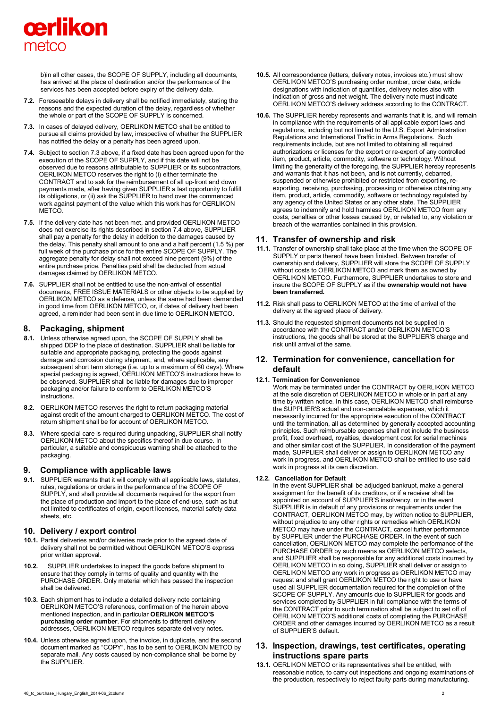# cerlikon metco

b)in all other cases, the SCOPE OF SUPPLY, including all documents, has arrived at the place of destination and/or the performance of the services has been accepted before expiry of the delivery date.

- **7.2.** Foreseeable delays in delivery shall be notified immediately, stating the reasons and the expected duration of the delay, regardless of whether the whole or part of the SCOPE OF SUPPLY is concerned.
- **7.3.** In cases of delayed delivery, OERLIKON METCO shall be entitled to pursue all claims provided by law, irrespective of whether the SUPPLIER has notified the delay or a penalty has been agreed upon.
- **7.4.** Subject to section 7.3 above, if a fixed date has been agreed upon for the execution of the SCOPE OF SUPPLY, and if this date will not be observed due to reasons attributable to SUPPLIER or its subcontractors, OERLIKON METCO reserves the right to (i) either terminate the CONTRACT and to ask for the reimbursement of all up-front and down payments made, after having given SUPPLIER a last opportunity to fulfill its obligations, or (ii) ask the SUPPLIER to hand over the commenced work against payment of the value which this work has for OERLIKON METCO.
- **7.5.** If the delivery date has not been met, and provided OERLIKON METCO does not exercise its rights described in section 7.4 above, SUPPLIER shall pay a penalty for the delay in addition to the damages caused by the delay. This penalty shall amount to one and a half percent (1.5 %) per full week of the purchase price for the entire SCOPE OF SUPPLY. The aggregate penalty for delay shall not exceed nine percent (9%) of the entire purchase price. Penalties paid shall be deducted from actual damages claimed by OERLIKON METCO.
- **7.6.** SUPPLIER shall not be entitled to use the non-arrival of essential documents, FREE ISSUE MATERIALS or other objects to be supplied by OERLIKON METCO as a defense, unless the same had been demanded in good time from OERLIKON METCO, or, if dates of delivery had been agreed, a reminder had been sent in due time to OERLIKON METCO.

### **8. Packaging, shipment**

- **8.1.** Unless otherwise agreed upon, the SCOPE OF SUPPLY shall be shipped DDP to the place of destination. SUPPLIER shall be liable for suitable and appropriate packaging, protecting the goods against damage and corrosion during shipment, and, where applicable, any subsequent short term storage (i.e. up to a maximum of 60 days). Where special packaging is agreed, OERLIKON METCO'S instructions have to be observed. SUPPLIER shall be liable for damages due to improper packaging and/or failure to conform to OERLIKON METCO'S **instructions**
- **8.2.** OERLIKON METCO reserves the right to return packaging material against credit of the amount charged to OERLIKON METCO. The cost of return shipment shall be for account of OERLIKON METCO.
- **8.3.** Where special care is required during unpacking, SUPPLIER shall notify OERLIKON METCO about the specifics thereof in due course. In particular, a suitable and conspicuous warning shall be attached to the packaging.

### **9. Compliance with applicable laws**

**9.1.** SUPPLIER warrants that it will comply with all applicable laws, statutes, rules, regulations or orders in the performance of the SCOPE OF SUPPLY, and shall provide all documents required for the export from the place of production and import to the place of end-use, such as but not limited to certificates of origin, export licenses, material safety data sheets, etc.

### **10. Delivery / export control**

- **10.1.** Partial deliveries and/or deliveries made prior to the agreed date of delivery shall not be permitted without OERLIKON METCO'S express prior written approval.
- **10.2.** SUPPLIER undertakes to inspect the goods before shipment to ensure that they comply in terms of quality and quantity with the PURCHASE ORDER. Only material which has passed the inspection shall be delivered.
- **10.3.** Each shipment has to include a detailed delivery note containing OERLIKON METCO'S references, confirmation of the herein above mentioned inspection, and in particular **OERLIKON METCO'S purchasing order number**. For shipments to different delivery addresses, OERLIKON METCO requires separate delivery notes.
- **10.4.** Unless otherwise agreed upon, the invoice, in duplicate, and the second document marked as "COPY", has to be sent to OERLIKON METCO by separate mail. Any costs caused by non-compliance shall be borne by the SUPPLIER.
- **10.5.** All correspondence (letters, delivery notes, invoices etc.) must show OERLIKON METCO'S purchasing order number, order date, article designations with indication of quantities, delivery notes also with indication of gross and net weight. The delivery note must indicate OERLIKON METCO'S delivery address according to the CONTRACT.
- **10.6.** The SUPPLIER hereby represents and warrants that it is, and will remain in compliance with the requirements of all applicable export laws and regulations, including but not limited to the U.S. Export Administration Regulations and International Traffic in Arms Regulations. Such requirements include, but are not limited to obtaining all required authorizations or licenses for the export or re-export of any controlled item, product, article, commodity, software or technology. Without limiting the generality of the foregoing, the SUPPLIER hereby represents and warrants that it has not been, and is not currently, debarred, suspended or otherwise prohibited or restricted from exporting, reexporting, receiving, purchasing, processing or otherwise obtaining any item, product, article, commodity, software or technology regulated by any agency of the United States or any other state. The SUPPLIER agrees to indemnify and hold harmless OERLIKON METCO from any costs, penalties or other losses caused by, or related to, any violation or breach of the warranties contained in this provision.

## **11. Transfer of ownership and risk**

- **11.1.** Transfer of ownership shall take place at the time when the SCOPE OF SUPPLY or parts thereof have been finished. Between transfer of ownership and delivery, SUPPLIER will store the SCOPE OF SUPPLY without costs to OERLIKON METCO and mark them as owned by OERLIKON METCO. Furthermore, SUPPLIER undertakes to store and insure the SCOPE OF SUPPLY as if the **ownership would not have been transferred.**
- **11.2.** Risk shall pass to OERLIKON METCO at the time of arrival of the delivery at the agreed place of delivery.
- **11.3.** Should the requested shipment documents not be supplied in accordance with the CONTRACT and/or OERLIKON METCO'S instructions, the goods shall be stored at the SUPPLIER'S charge and risk until arrival of the same.

## **12. Termination for convenience, cancellation for default**

#### **12.1. Termination for Convenience**

Work may be terminated under the CONTRACT by OERLIKON METCO at the sole discretion of OERLIKON METCO in whole or in part at any time by written notice. In this case, OERLIKON METCO shall reimburse the SUPPLIER'S actual and non-cancelable expenses, which it necessarily incurred for the appropriate execution of the CONTRACT until the termination, all as determined by generally accepted accounting principles. Such reimbursable expenses shall not include the business profit, fixed overhead, royalties, development cost for serial machines and other similar cost of the SUPPLIER. In consideration of the payment made, SUPPLIER shall deliver or assign to OERLIKON METCO any work in progress, and OERLIKON METCO shall be entitled to use said work in progress at its own discretion.

### **12.2. Cancellation for Default**

In the event SUPPLIER shall be adjudged bankrupt, make a general assignment for the benefit of its creditors, or if a receiver shall be appointed on account of SUPPLIER'S insolvency, or in the event SUPPLIER is in default of any provisions or requirements under the CONTRACT, OERLIKON METCO may, by written notice to SUPPLIER, without prejudice to any other rights or remedies which OERLIKON METCO may have under the CONTRACT, cancel further performance by SUPPLIER under the PURCHASE ORDER. In the event of such cancellation, OERLIKON METCO may complete the performance of the PURCHASE ORDER by such means as OERLIKON METCO selects, and SUPPLIER shall be responsible for any additional costs incurred by OERLIKON METCO in so doing, SUPPLIER shall deliver or assign to OERLIKON METCO any work in progress as OERLIKON METCO may request and shall grant OERLIKON METCO the right to use or have used all SUPPLIER documentation required for the completion of the SCOPE OF SUPPLY. Any amounts due to SUPPLIER for goods and services completed by SUPPLIER in full compliance with the terms of the CONTRACT prior to such termination shall be subject to set off of OERLIKON METCO'S additional costs of completing the PURCHASE ORDER and other damages incurred by OERLIKON METCO as a result of SUPPLIER'S default.

## **13. Inspection, drawings, test certificates, operating instructions spare parts**

**13.1.** OERLIKON METCO or its representatives shall be entitled, with reasonable notice, to carry out inspections and ongoing examinations of the production, respectively to reject faulty parts during manufacturing.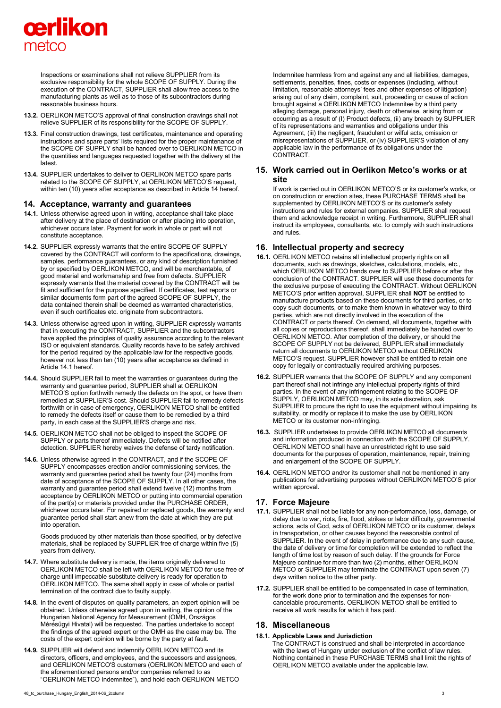

Inspections or examinations shall not relieve SUPPLIER from its exclusive responsibility for the whole SCOPE OF SUPPLY. During the execution of the CONTRACT, SUPPLIER shall allow free access to the manufacturing plants as well as to those of its subcontractors during reasonable business hours.

- **13.2.** OERLIKON METCO'S approval of final construction drawings shall not relieve SUPPLIER of its responsibility for the SCOPE OF SUPPLY.
- **13.3.** Final construction drawings, test certificates, maintenance and operating instructions and spare parts' lists required for the proper maintenance of the SCOPE OF SUPPLY shall be handed over to OERLIKON METCO in the quantities and languages requested together with the delivery at the latest.
- **13.4.** SUPPLIER undertakes to deliver to OERLIKON METCO spare parts related to the SCOPE OF SUPPLY, at OERLIKON METCO'S request, within ten (10) years after acceptance as described in Article 14 hereof.

#### **14. Acceptance, warranty and guarantees**

- **14.1.** Unless otherwise agreed upon in writing, acceptance shall take place after delivery at the place of destination or after placing into operation, whichever occurs later. Payment for work in whole or part will not constitute acceptance.
- **14.2.** SUPPLIER expressly warrants that the entire SCOPE OF SUPPLY covered by the CONTRACT will conform to the specifications, drawings, samples, performance guarantees, or any kind of description furnished by or specified by OERLIKON METCO, and will be merchantable, of good material and workmanship and free from defects. SUPPLIER expressly warrants that the material covered by the CONTRACT will be fit and sufficient for the purpose specified. If certificates, test reports or similar documents form part of the agreed SCOPE OF SUPPLY, the data contained therein shall be deemed as warranted characteristics, even if such certificates etc. originate from subcontractors.
- **14.3.** Unless otherwise agreed upon in writing, SUPPLIER expressly warrants that in executing the CONTRACT, SUPPLIER and the subcontractors have applied the principles of quality assurance according to the relevant ISO or equivalent standards. Quality records have to be safely archived for the period required by the applicable law for the respective goods, however not less than ten (10) years after acceptance as defined in Article 14.1 hereof.
- **14.4.** Should SUPPLIER fail to meet the warranties or guarantees during the warranty and guarantee period, SUPPLIER shall at OERLIKON METCO'S option forthwith remedy the defects on the spot, or have them remedied at SUPPLIER'S cost. Should SUPPLIER fail to remedy defects forthwith or in case of emergency, OERLIKON METCO shall be entitled to remedy the defects itself or cause them to be remedied by a third party, in each case at the SUPPLIER'S charge and risk.
- **14.5.** OERLIKON METCO shall not be obliged to inspect the SCOPE OF SUPPLY or parts thereof immediately. Defects will be notified after detection. SUPPLIER hereby waives the defense of tardy notification.
- **14.6.** Unless otherwise agreed in the CONTRACT, and if the SCOPE OF SUPPLY encompasses erection and/or commissioning services, the warranty and guarantee period shall be twenty four (24) months from date of acceptance of the SCOPE OF SUPPLY. In all other cases, the warranty and guarantee period shall extend twelve (12) months from acceptance by OERLIKON METCO or putting into commercial operation of the part(s) or materials provided under the PURCHASE ORDER, whichever occurs later. For repaired or replaced goods, the warranty and guarantee period shall start anew from the date at which they are put into operation.

Goods produced by other materials than those specified, or by defective materials, shall be replaced by SUPPLIER free of charge within five (5) years from delivery.

- **14.7.** Where substitute delivery is made, the items originally delivered to OERLIKON METCO shall be left with OERLIKON METCO for use free of charge until impeccable substitute delivery is ready for operation to OERLIKON METCO. The same shall apply in case of whole or partial termination of the contract due to faulty supply.
- **14.8.** In the event of disputes on quality parameters, an expert opinion will be obtained. Unless otherwise agreed upon in writing, the opinion of the Hungarian National Agency for Measurement (OMH, Országos Mérésügyi Hivatal) will be requested. The parties undertake to accept the findings of the agreed expert or the OMH as the case may be. The costs of the expert opinion will be borne by the party at fault.
- **14.9.** SUPPLIER will defend and indemnify OERLIKON METCO and its directors, officers, and employees, and the successors and assignees, and OERLIKON METCO'S customers (OERLIKON METCO and each of the aforementioned persons and/or companies referred to as "OERLIKON METCO Indemnitee"), and hold each OERLIKON METCO

Indemnitee harmless from and against any and all liabilities, damages, settlements, penalties, fines, costs or expenses (including, without limitation, reasonable attorneys' fees and other expenses of litigation) arising out of any claim, complaint, suit, proceeding or cause of action brought against a OERLIKON METCO Indemnitee by a third party alleging damage, personal injury, death or otherwise, arising from or occurring as a result of (I) Product defects, (ii) any breach by SUPPLIER of its representations and warranties and obligations under this Agreement, (iii) the negligent, fraudulent or wilful acts, omission or misrepresentations of SUPPLIER, or (iv) SUPPLIER'S violation of any applicable law in the performance of its obligations under the **CONTRACT** 

## **15. Work carried out in Oerlikon Metco's works or at site**

If work is carried out in OERLIKON METCO'S or its customer's works, or on construction or erection sites, these PURCHASE TERMS shall be supplemented by OERLIKON METCO'S or its customer's safety instructions and rules for external companies. SUPPLIER shall request them and acknowledge receipt in writing. Furthermore, SUPPLIER shall instruct its employees, consultants, etc. to comply with such instructions and rules.

#### **16. Intellectual property and secrecy**

- **16.1.** OERLIKON METCO retains all intellectual property rights on all documents, such as drawings, sketches, calculations, models, etc., which OERLIKON METCO hands over to SUPPLIER before or after the conclusion of the CONTRACT. SUPPLIER will use these documents for the exclusive purpose of executing the CONTRACT. Without OERLIKON METCO'S prior written approval, SUPPLIER shall **NOT** be entitled to manufacture products based on these documents for third parties, or to copy such documents, or to make them known in whatever way to third parties, which are not directly involved in the execution of the CONTRACT or parts thereof. On demand, all documents, together with all copies or reproductions thereof, shall immediately be handed over to OERLIKON METCO. After completion of the delivery, or should the SCOPE OF SUPPLY not be delivered, SUPPLIER shall immediately return all documents to OERLIKON METCO without OERLIKON METCO'S request. SUPPLIER however shall be entitled to retain one copy for legally or contractually required archiving purposes.
- **16.2.** SUPPLIER warrants that the SCOPE OF SUPPLY and any component part thereof shall not infringe any intellectual property rights of third parties. In the event of any infringement relating to the SCOPE OF SUPPLY, OERLIKON METCO may, in its sole discretion, ask SUPPLIER to procure the right to use the equipment without impairing its suitability, or modify or replace it to make the use by OERLIKON METCO or its customer non-infringing.
- **16.3.** SUPPLIER undertakes to provide OERLIKON METCO all documents and information produced in connection with the SCOPE OF SUPPLY. OERLIKON METCO shall have an unrestricted right to use said documents for the purposes of operation, maintenance, repair, training and enlargement of the SCOPE OF SUPPLY.
- **16.4.** OERLIKON METCO and/or its customer shall not be mentioned in any publications for advertising purposes without OERLIKON METCO'S prior written approval.

#### **17. Force Majeure**

- **17.1.** SUPPLIER shall not be liable for any non-performance, loss, damage, or delay due to war, riots, fire, flood, strikes or labor difficulty, governmental actions, acts of God, acts of OERLIKON METCO or its customer, delays in transportation, or other causes beyond the reasonable control of SUPPLIER. In the event of delay in performance due to any such cause, the date of delivery or time for completion will be extended to reflect the length of time lost by reason of such delay. If the grounds for Force Majeure continue for more than two (2) months, either OERLIKON METCO or SUPPLIER may terminate the CONTRACT upon seven (7) days written notice to the other party.
- **17.2.** SUPPLIER shall be entitled to be compensated in case of termination, for the work done prior to termination and the expenses for noncancelable procurements. OERLIKON METCO shall be entitled to receive all work results for which it has paid.

### **18. Miscellaneous**

#### **18.1. Applicable Laws and Jurisdiction**

The CONTRACT is construed and shall be interpreted in accordance with the laws of Hungary under exclusion of the conflict of law rules. Nothing contained in these PURCHASE TERMS shall limit the rights of OERLIKON METCO available under the applicable law.